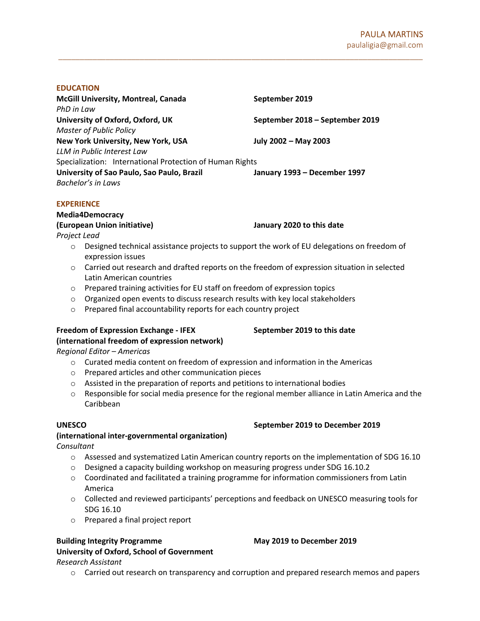### EDUCATION

| <b>McGill University, Montreal, Canada</b>               | September 2019                  |
|----------------------------------------------------------|---------------------------------|
| PhD in Law                                               |                                 |
| University of Oxford, Oxford, UK                         | September 2018 - September 2019 |
| <b>Master of Public Policy</b>                           |                                 |
| New York University, New York, USA                       | July 2002 - May 2003            |
| LLM in Public Interest Law                               |                                 |
| Specialization: International Protection of Human Rights |                                 |
| University of Sao Paulo, Sao Paulo, Brazil               | January 1993 - December 1997    |
| Bachelor's in Laws                                       |                                 |
|                                                          |                                 |

#### EXPERIENCE

#### Media4Democracy

### (European Union initiative) January 2020 to this date

Project Lead

 $\circ$  Designed technical assistance projects to support the work of EU delegations on freedom of expression issues

\_\_\_\_\_\_\_\_\_\_\_\_\_\_\_\_\_\_\_\_\_\_\_\_\_\_\_\_\_\_\_\_\_\_\_\_\_\_\_\_\_\_\_\_\_\_\_\_\_\_\_\_\_\_\_\_\_\_\_\_\_\_\_\_\_\_\_\_\_\_\_\_\_\_\_\_\_\_\_\_\_\_\_\_\_

- o Carried out research and drafted reports on the freedom of expression situation in selected Latin American countries
- o Prepared training activities for EU staff on freedom of expression topics
- o Organized open events to discuss research results with key local stakeholders
- o Prepared final accountability reports for each country project

### Freedom of Expression Exchange - IFEX September 2019 to this date (international freedom of expression network)

Regional Editor – Americas

- $\circ$  Curated media content on freedom of expression and information in the Americas
- o Prepared articles and other communication pieces
- o Assisted in the preparation of reports and petitions to international bodies
- $\circ$  Responsible for social media presence for the regional member alliance in Latin America and the Caribbean

# (international inter-governmental organization)

Consultant

- $\circ$  Assessed and systematized Latin American country reports on the implementation of SDG 16.10
- $\circ$  Designed a capacity building workshop on measuring progress under SDG 16.10.2
- $\circ$  Coordinated and facilitated a training programme for information commissioners from Latin America
- o Collected and reviewed participants' perceptions and feedback on UNESCO measuring tools for SDG 16.10
- o Prepared a final project report

# Building Integrity Programme May 2019 to December 2019 University of Oxford, School of Government

Research Assistant

 $\circ$  Carried out research on transparency and corruption and prepared research memos and papers

# UNESCO September 2019 to December 2019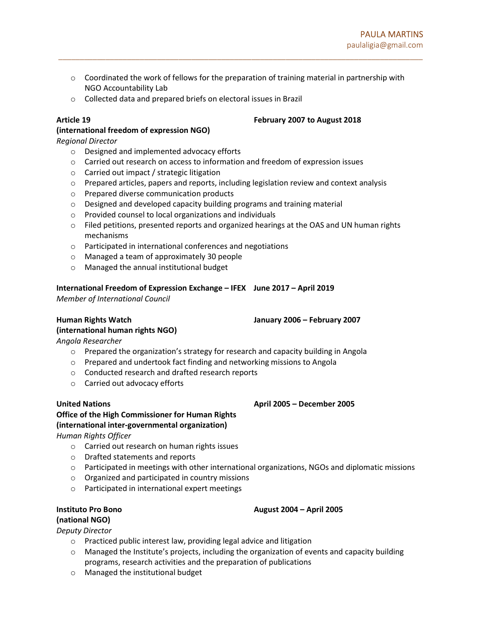$\circ$  Coordinated the work of fellows for the preparation of training material in partnership with NGO Accountability Lab

\_\_\_\_\_\_\_\_\_\_\_\_\_\_\_\_\_\_\_\_\_\_\_\_\_\_\_\_\_\_\_\_\_\_\_\_\_\_\_\_\_\_\_\_\_\_\_\_\_\_\_\_\_\_\_\_\_\_\_\_\_\_\_\_\_\_\_\_\_\_\_\_\_\_\_\_\_\_\_\_\_\_\_\_\_

o Collected data and prepared briefs on electoral issues in Brazil

# (international freedom of expression NGO)

Regional Director

- o Designed and implemented advocacy efforts
- $\circ$  Carried out research on access to information and freedom of expression issues
- o Carried out impact / strategic litigation
- o Prepared articles, papers and reports, including legislation review and context analysis
- o Prepared diverse communication products
- $\circ$  Designed and developed capacity building programs and training material
- o Provided counsel to local organizations and individuals
- $\circ$  Filed petitions, presented reports and organized hearings at the OAS and UN human rights mechanisms
- o Participated in international conferences and negotiations
- o Managed a team of approximately 30 people
- o Managed the annual institutional budget

# International Freedom of Expression Exchange – IFEX June 2017 – April 2019

Member of International Council

# (international human rights NGO)

Human Rights Watch January 2006 – February 2007

Angola Researcher

- $\circ$  Prepared the organization's strategy for research and capacity building in Angola
- o Prepared and undertook fact finding and networking missions to Angola
- o Conducted research and drafted research reports
- o Carried out advocacy efforts

# United Nations **April 2005** – December 2005 – December 2005

# Office of the High Commissioner for Human Rights (international inter-governmental organization)

Human Rights Officer

- o Carried out research on human rights issues
- o Drafted statements and reports
- $\circ$  Participated in meetings with other international organizations, NGOs and diplomatic missions
- o Organized and participated in country missions
- o Participated in international expert meetings

# Instituto Pro Bono August 2004 – April 2005 (national NGO)

Deputy Director

- o Practiced public interest law, providing legal advice and litigation
- o Managed the Institute's projects, including the organization of events and capacity building programs, research activities and the preparation of publications
- o Managed the institutional budget

# Article 19 February 2007 to August 2018